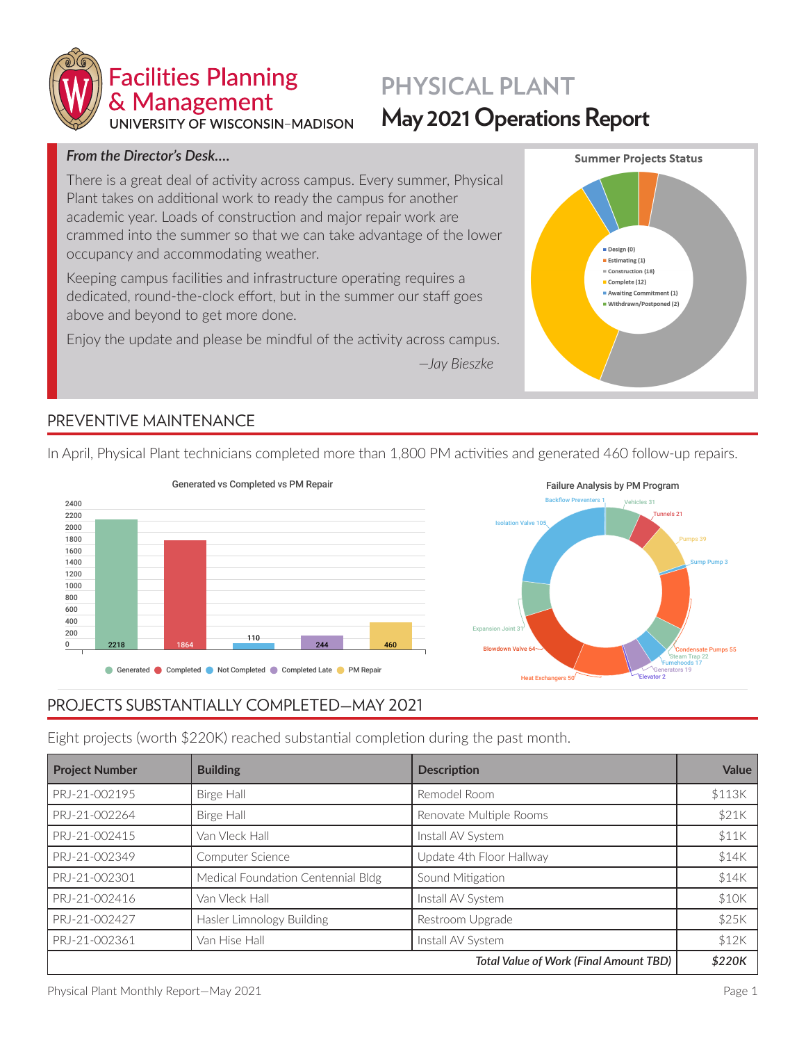

# **PHYSICAL PLANT May 2021 Operations Report**

### *From the Director's Desk…***.**

There is a great deal of activity across campus. Every summer, Physical Plant takes on additional work to ready the campus for another academic year. Loads of construction and major repair work are crammed into the summer so that we can take advantage of the lower occupancy and accommodating weather.

Keeping campus facilities and infrastructure operating requires a dedicated, round-the-clock effort, but in the summer our staff goes above and beyond to get more done.

Enjoy the update and please be mindful of the activity across campus.





# **PREVENTIVE MAINTENANCE**

**2218 110 84.0% 460 1864 244** In April, Physical Plant technicians completed more than 1,800 PM activities and generated 460 follow-up repairs.





# PROJECTS SUBSTANTIALLY COMPLETED—MAY 2021

Eight projects (worth \$220K) reached substantial completion during the past month.

| <b>Project Number</b> | <b>Building</b>                    | <b>Description</b>                            | Value  |
|-----------------------|------------------------------------|-----------------------------------------------|--------|
| PRJ-21-002195         | Birge Hall                         | Remodel Room                                  | \$113K |
| PRJ-21-002264         | Birge Hall                         | Renovate Multiple Rooms                       | \$21K  |
| PRJ-21-002415         | Van Vleck Hall                     | Install AV System                             | \$11K  |
| PRJ-21-002349         | Computer Science                   | Update 4th Floor Hallway                      | \$14K  |
| PRJ-21-002301         | Medical Foundation Centennial Bldg | Sound Mitigation                              | \$14K  |
| PRJ-21-002416         | Van Vleck Hall                     | Install AV System                             | \$10K  |
| PRJ-21-002427         | Hasler Limnology Building          | Restroom Upgrade                              | \$25K  |
| PRJ-21-002361         | Van Hise Hall                      | Install AV System                             | \$12K  |
|                       |                                    | <b>Total Value of Work (Final Amount TBD)</b> | \$220K |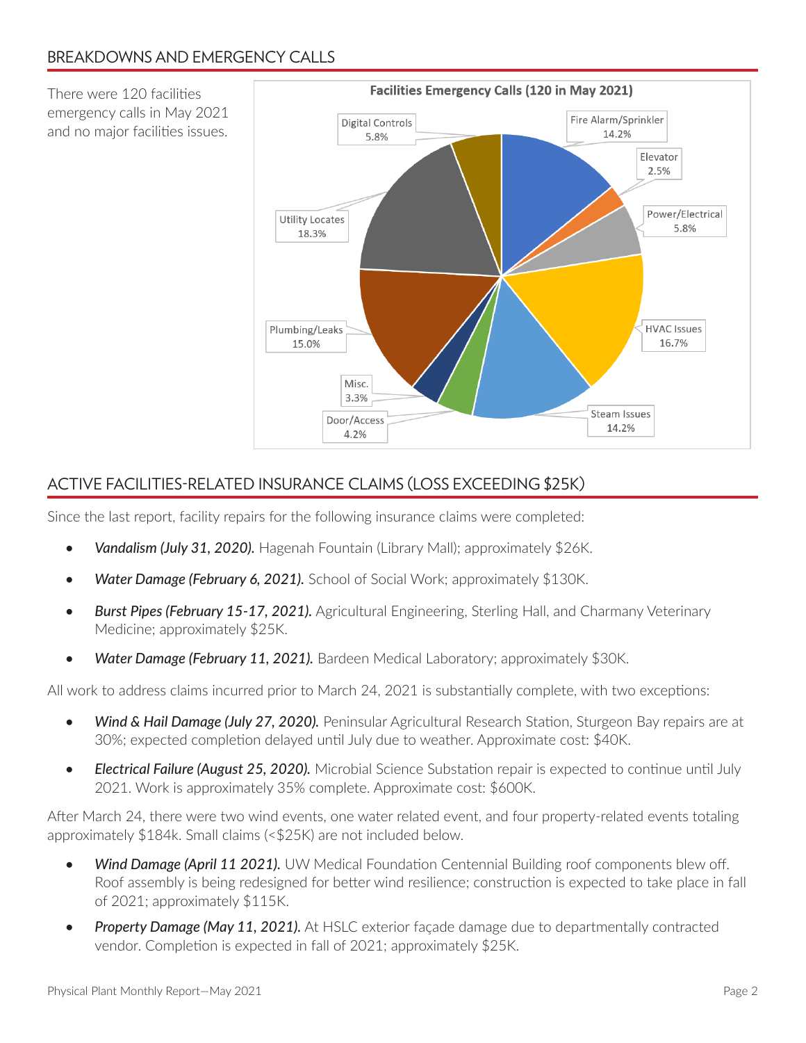There were 120 facilities emergency calls in May 2021 and no major facilities issues.



# ACTIVE FACILITIES-RELATED INSURANCE CLAIMS (LOSS EXCEEDING \$25K)

Since the last report, facility repairs for the following insurance claims were completed:

- *• Vandalism (July 31, 2020).* Hagenah Fountain (Library Mall); approximately \$26K.
- *• Water Damage (February 6, 2021).* School of Social Work; approximately \$130K.
- *Burst Pipes (February 15-17, 2021).* Agricultural Engineering, Sterling Hall, and Charmany Veterinary Medicine; approximately \$25K.
- Water Damage (February 11, 2021). Bardeen Medical Laboratory; approximately \$30K.

All work to address claims incurred prior to March 24, 2021 is substantially complete, with two exceptions:

- *Wind & Hail Damage (July 27, 2020).* Peninsular Agricultural Research Station, Sturgeon Bay repairs are at 30%; expected completion delayed until July due to weather. Approximate cost: \$40K.
- *• Electrical Failure (August 25, 2020).* Microbial Science Substation repair is expected to continue until July 2021. Work is approximately 35% complete. Approximate cost: \$600K.

After March 24, there were two wind events, one water related event, and four property-related events totaling approximately \$184k. Small claims (<\$25K) are not included below.

- Wind Damage (April 11 2021). UW Medical Foundation Centennial Building roof components blew off. Roof assembly is being redesigned for better wind resilience; construction is expected to take place in fall of 2021; approximately \$115K.
- *• Property Damage (May 11, 2021).* At HSLC exterior façade damage due to departmentally contracted vendor. Completion is expected in fall of 2021; approximately \$25K.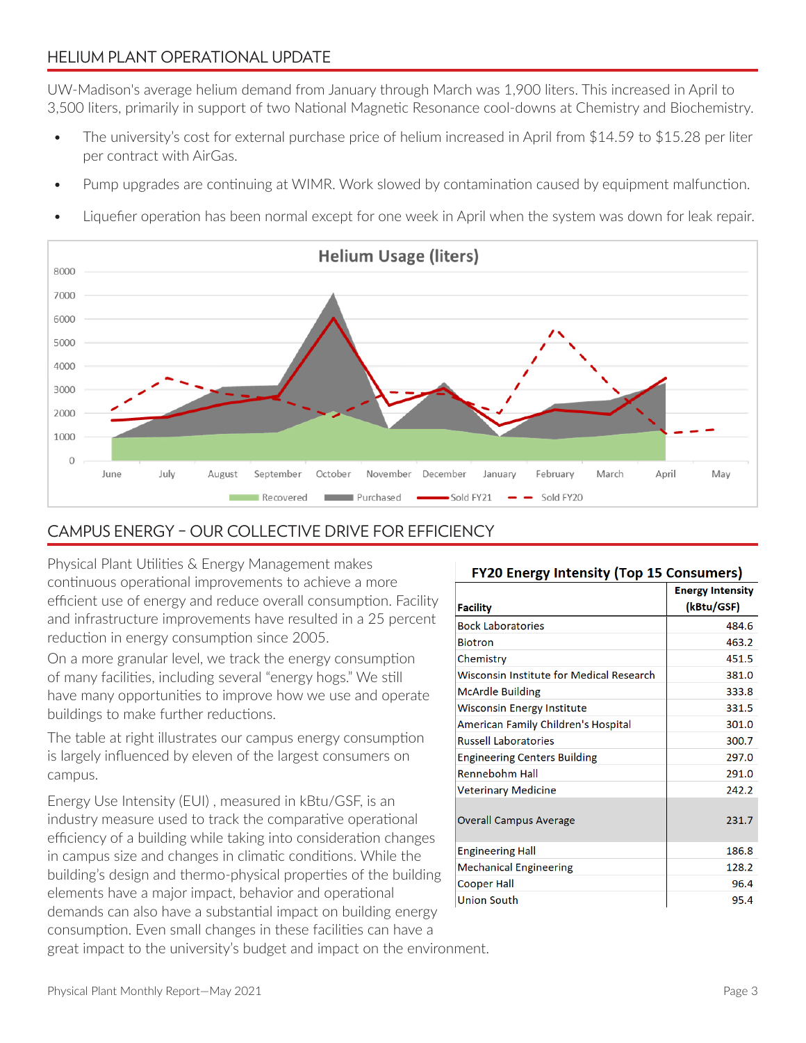### HELIUM PLANT OPERATIONAL UPDATE

UW-Madison's average helium demand from January through March was 1,900 liters. This increased in April to 3,500 liters, primarily in support of two National Magnetic Resonance cool-downs at Chemistry and Biochemistry.

- The university's cost for external purchase price of helium increased in April from \$14.59 to \$15.28 per liter per contract with AirGas.
- Pump upgrades are continuing at WIMR. Work slowed by contamination caused by equipment malfunction.
- Liquefier operation has been normal except for one week in April when the system was down for leak repair.



### CAMPUS ENERGY – OUR COLLECTIVE DRIVE FOR EFFICIENCY

Physical Plant Utilities & Energy Management makes continuous operational improvements to achieve a more efficient use of energy and reduce overall consumption. Facility and infrastructure improvements have resulted in a 25 percent reduction in energy consumption since 2005.

On a more granular level, we track the energy consumption of many facilities, including several "energy hogs." We still have many opportunities to improve how we use and operate buildings to make further reductions.

The table at right illustrates our campus energy consumption is largely influenced by eleven of the largest consumers on campus.

Energy Use Intensity (EUI) , measured in kBtu/GSF, is an industry measure used to track the comparative operational efficiency of a building while taking into consideration changes in campus size and changes in climatic conditions. While the building's design and thermo-physical properties of the building elements have a major impact, behavior and operational demands can also have a substantial impact on building energy consumption. Even small changes in these facilities can have a

### **FY20 Energy Intensity (Top 15 Consumers)**

|                                          | <b>Energy Intensity</b><br>(kBtu/GSF) |
|------------------------------------------|---------------------------------------|
| <b>Facility</b>                          |                                       |
| <b>Bock Laboratories</b>                 | 484.6                                 |
| <b>Biotron</b>                           | 463.2                                 |
| Chemistry                                | 451.5                                 |
| Wisconsin Institute for Medical Research | 381.0                                 |
| <b>McArdle Building</b>                  | 333.8                                 |
| <b>Wisconsin Energy Institute</b>        | 331.5                                 |
| American Family Children's Hospital      | 301.0                                 |
| <b>Russell Laboratories</b>              | 300.7                                 |
| <b>Engineering Centers Building</b>      | 297.0                                 |
| <b>Rennebohm Hall</b>                    | 291.0                                 |
| <b>Veterinary Medicine</b>               | 242.2                                 |
| <b>Overall Campus Average</b>            | 231.7                                 |
| <b>Engineering Hall</b>                  | 186.8                                 |
| <b>Mechanical Engineering</b>            | 128.2                                 |
| <b>Cooper Hall</b>                       | 96.4                                  |
| Union South                              | 95.4                                  |

great impact to the university's budget and impact on the environment.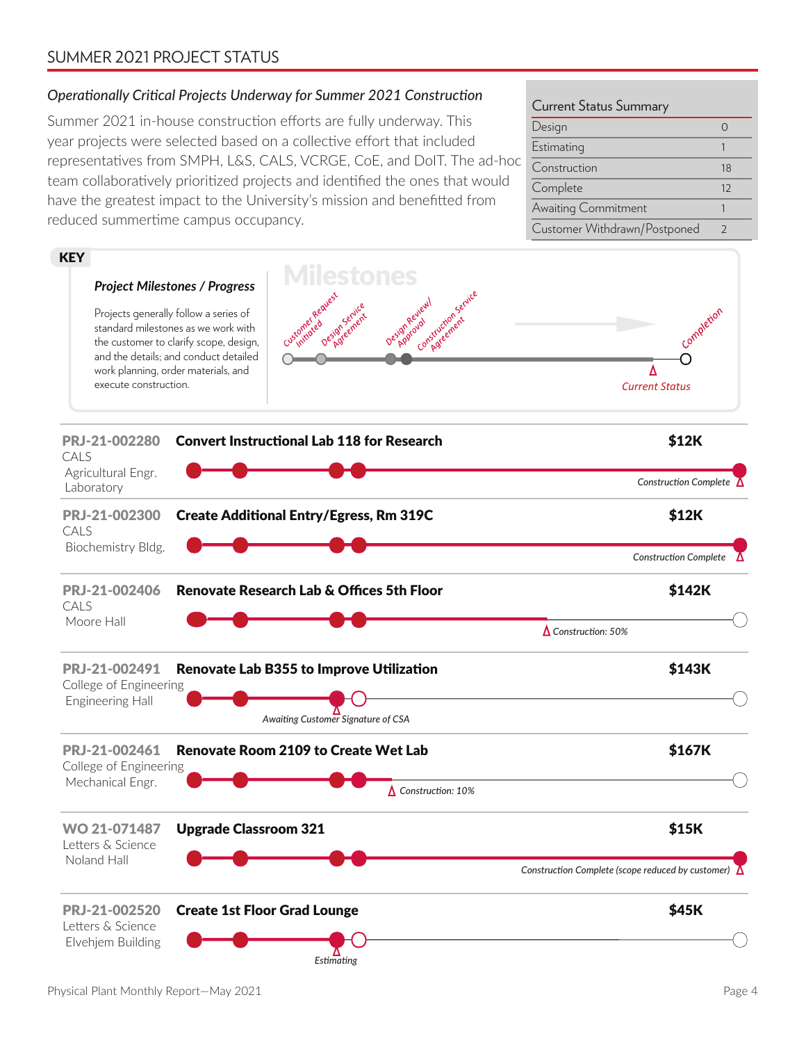### SUMMER 2021 PROJECT STATUS

### *Operationally Critical Projects Underway for Summer 2021 Construction*

Summer 2021 in-house construction efforts are fully underway. This year projects were selected based on a collective effort that included representatives from SMPH, L&S, CALS, VCRGE, CoE, and DoIT. The ad-hoc team collaboratively prioritized projects and identified the ones that would have the greatest impact to the University's mission and benefitted from reduced summertime campus occupancy.

#### Current Status Summary

| Design                       |               |
|------------------------------|---------------|
| Estimating                   |               |
| Construction                 | 18            |
| Complete                     | 12            |
| Awaiting Commitment          |               |
| Customer Withdrawn/Postponed | $\mathcal{L}$ |

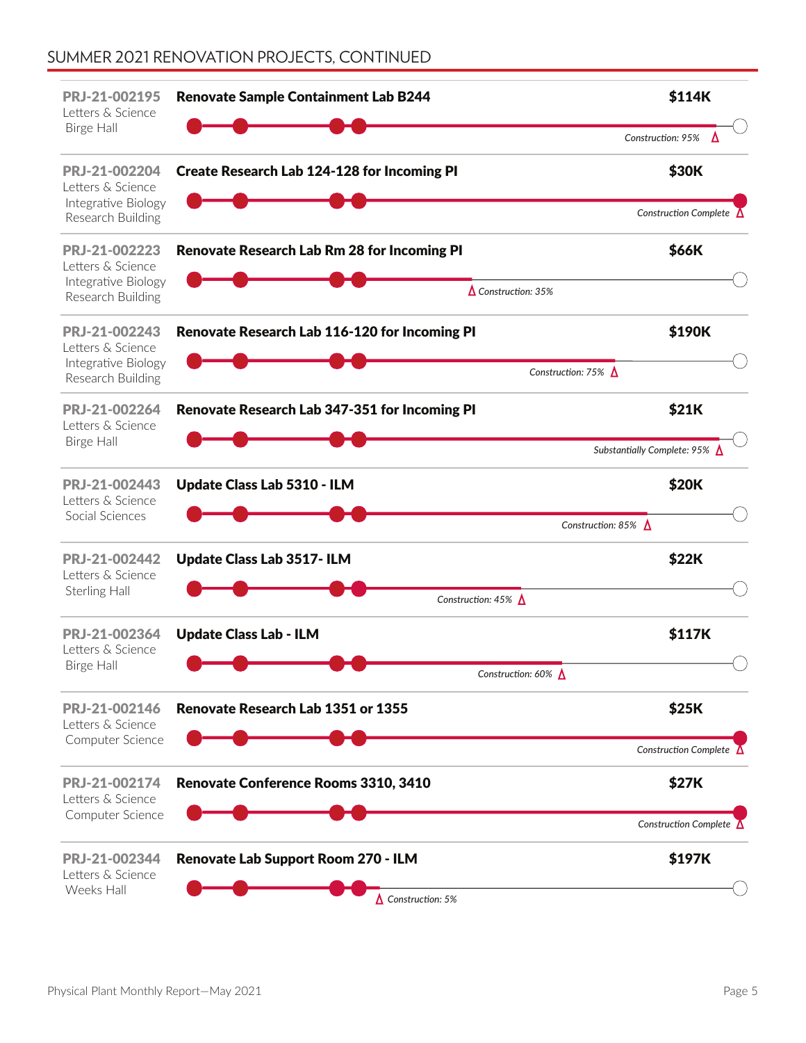# SUMMER 2021 RENOVATION PROJECTS, CONTINUED

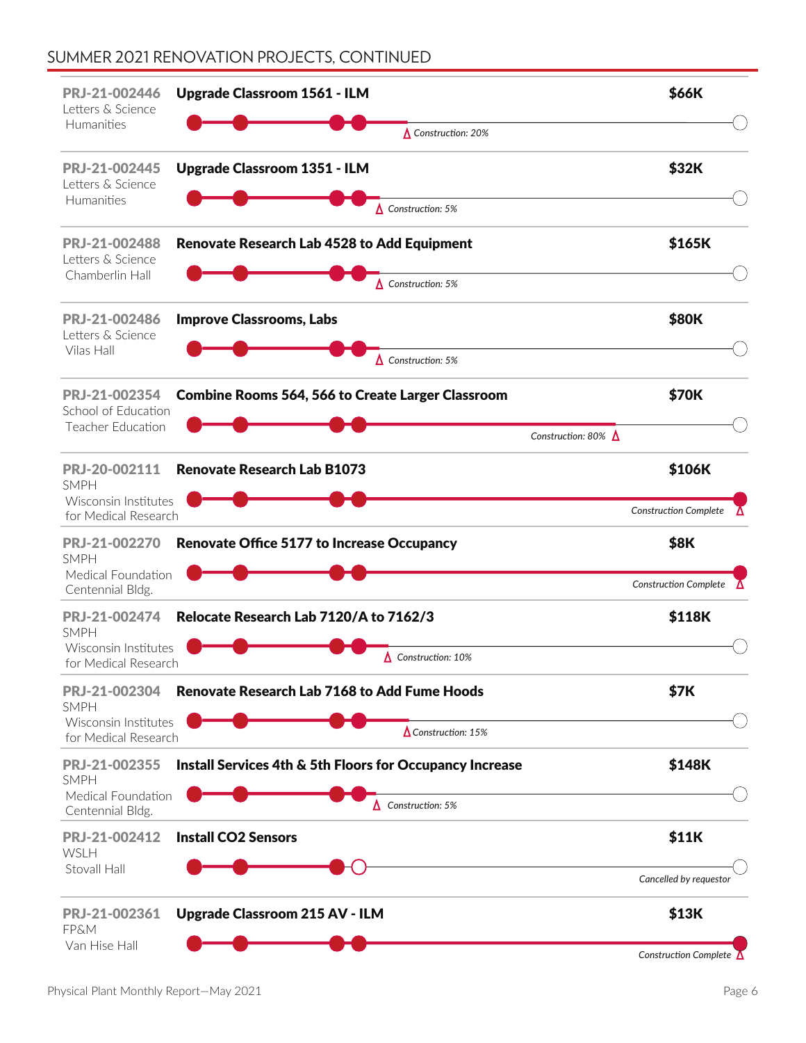